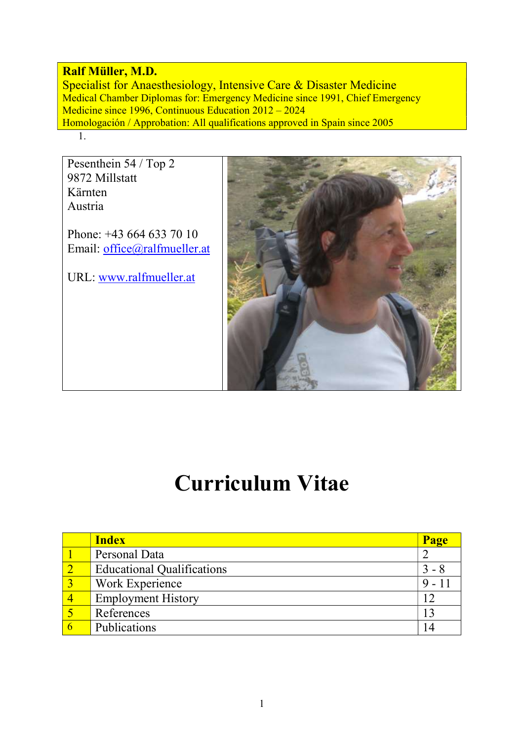#### Ralf Müller, M.D.

Specialist for Anaesthesiology, Intensive Care & Disaster Medicine Medical Chamber Diplomas for: Emergency Medicine since 1991, Chief Emergency Medicine since 1996, Continuous Education 2012 – 2024 Homologación / Approbation: All qualifications approved in Spain since 2005 1.

Pesenthein 54 / Top 2 9872 Millstatt Kärnten Austria

Phone: +43 664 633 70 10 Email: office@ralfmueller.at

URL: www.ralfmueller.at



# Curriculum Vitae

| <b>Index</b><br>Page                         |  |
|----------------------------------------------|--|
| Personal Data                                |  |
| <b>Educational Qualifications</b><br>$3 - 8$ |  |
| Work Experience<br>$(9 - 1)$                 |  |
| <b>Employment History</b>                    |  |
| References                                   |  |
| Publications                                 |  |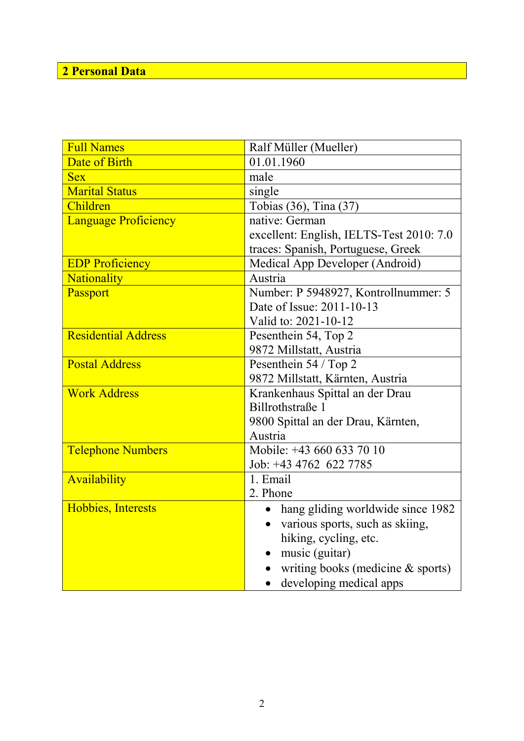#### 2 Personal Data

| <b>Full Names</b>           | Ralf Müller (Mueller)                          |  |  |
|-----------------------------|------------------------------------------------|--|--|
| Date of Birth               | 01.01.1960                                     |  |  |
| <b>Sex</b>                  | male                                           |  |  |
| <b>Marital Status</b>       | single                                         |  |  |
| Children                    | Tobias (36), Tina (37)                         |  |  |
| <b>Language Proficiency</b> | native: German                                 |  |  |
|                             | excellent: English, IELTS-Test 2010: 7.0       |  |  |
|                             | traces: Spanish, Portuguese, Greek             |  |  |
| <b>EDP Proficiency</b>      | Medical App Developer (Android)                |  |  |
| <b>Nationality</b>          | Austria                                        |  |  |
| Passport                    | Number: P 5948927, Kontrollnummer: 5           |  |  |
|                             | Date of Issue: 2011-10-13                      |  |  |
|                             | Valid to: 2021-10-12                           |  |  |
| <b>Residential Address</b>  | Pesenthein 54, Top 2                           |  |  |
|                             | 9872 Millstatt, Austria                        |  |  |
| <b>Postal Address</b>       | Pesenthein 54 / Top 2                          |  |  |
|                             | 9872 Millstatt, Kärnten, Austria               |  |  |
| <b>Work Address</b>         | Krankenhaus Spittal an der Drau                |  |  |
|                             | Billrothstraße 1                               |  |  |
|                             | 9800 Spittal an der Drau, Kärnten,             |  |  |
|                             | Austria                                        |  |  |
| <b>Telephone Numbers</b>    | Mobile: +43 660 633 70 10                      |  |  |
|                             | Job: +43 4762 622 7785                         |  |  |
| Availability                | 1. Email                                       |  |  |
|                             | 2. Phone                                       |  |  |
| Hobbies, Interests          | hang gliding worldwide since 1982<br>$\bullet$ |  |  |
|                             | various sports, such as skiing,<br>$\bullet$   |  |  |
|                             | hiking, cycling, etc.                          |  |  |
|                             | music (guitar)                                 |  |  |
|                             | writing books (medicine & sports)              |  |  |
|                             | developing medical apps                        |  |  |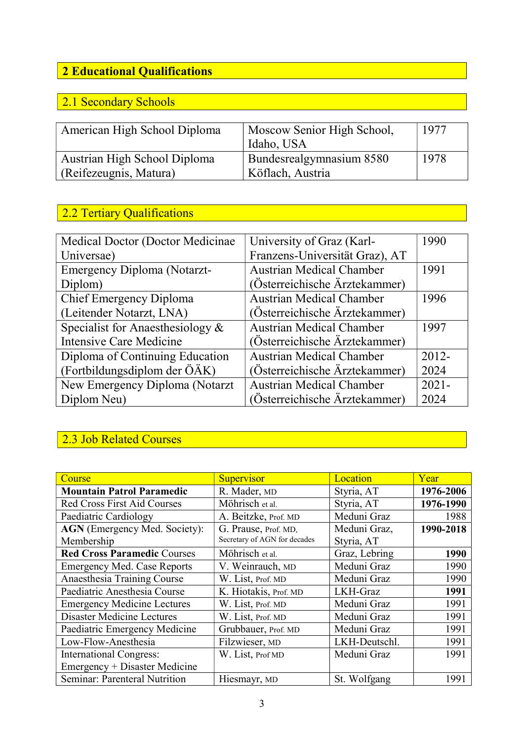## 2 Educational Qualifications

#### 2.1 Secondary Schools

| American High School Diploma | Moscow Senior High School, | 1977 |
|------------------------------|----------------------------|------|
|                              | Idaho, USA                 |      |
| Austrian High School Diploma | Bundesrealgymnasium 8580   | 1978 |
| (Reifezeugnis, Matura)       | Köflach, Austria           |      |

## 2.2 Tertiary Qualifications

| Medical Doctor (Doctor Medicinae)   | University of Graz (Karl-       | 1990     |
|-------------------------------------|---------------------------------|----------|
| Universae)                          | Franzens-Universität Graz), AT  |          |
| <b>Emergency Diploma (Notarzt-</b>  | <b>Austrian Medical Chamber</b> | 1991     |
| Diplom)                             | (Österreichische Ärztekammer)   |          |
| <b>Chief Emergency Diploma</b>      | <b>Austrian Medical Chamber</b> | 1996     |
| (Leitender Notarzt, LNA)            | (Österreichische Ärztekammer)   |          |
| Specialist for Anaesthesiology $\&$ | <b>Austrian Medical Chamber</b> | 1997     |
| <b>Intensive Care Medicine</b>      | (Österreichische Ärztekammer)   |          |
| Diploma of Continuing Education     | <b>Austrian Medical Chamber</b> | $2012 -$ |
| (Fortbildungsdiplom der ÖÄK)        | (Österreichische Ärztekammer)   | 2024     |
| New Emergency Diploma (Notarzt      | <b>Austrian Medical Chamber</b> | $2021 -$ |
| Diplom Neu)                         | (Österreichische Ärztekammer)   | 2024     |

#### 2.3 Job Related Courses

| Course                               | Supervisor                   | Location      | Year      |
|--------------------------------------|------------------------------|---------------|-----------|
| <b>Mountain Patrol Paramedic</b>     | R. Mader, MD                 | Styria, AT    | 1976-2006 |
| <b>Red Cross First Aid Courses</b>   | Möhrisch et al.              | Styria, AT    | 1976-1990 |
| Paediatric Cardiology                | A. Beitzke, Prof. MD         | Meduni Graz   | 1988      |
| <b>AGN</b> (Emergency Med. Society): | G. Prause, Prof. MD,         | Meduni Graz,  | 1990-2018 |
| Membership                           | Secretary of AGN for decades | Styria, AT    |           |
| <b>Red Cross Paramedic Courses</b>   | Möhrisch et al.              | Graz, Lebring | 1990      |
| <b>Emergency Med. Case Reports</b>   | V. Weinrauch, MD             | Meduni Graz   | 1990      |
| Anaesthesia Training Course          | W. List, Prof. MD            | Meduni Graz   | 1990      |
| Paediatric Anesthesia Course         | K. Hiotakis, Prof. MD        | LKH-Graz      | 1991      |
| <b>Emergency Medicine Lectures</b>   | W. List, Prof. MD            | Meduni Graz   | 1991      |
| <b>Disaster Medicine Lectures</b>    | W. List, Prof. MD            | Meduni Graz   | 1991      |
| Paediatric Emergency Medicine        | Grubbauer, Prof. MD          | Meduni Graz   | 1991      |
| Low-Flow-Anesthesia                  | Filzwieser, MD               | LKH-Deutschl. | 1991      |
| <b>International Congress:</b>       | W. List, Prof MD             | Meduni Graz   | 1991      |
| Emergency + Disaster Medicine        |                              |               |           |
| Seminar: Parenteral Nutrition        | Hiesmayr, MD                 | St. Wolfgang  | 1991      |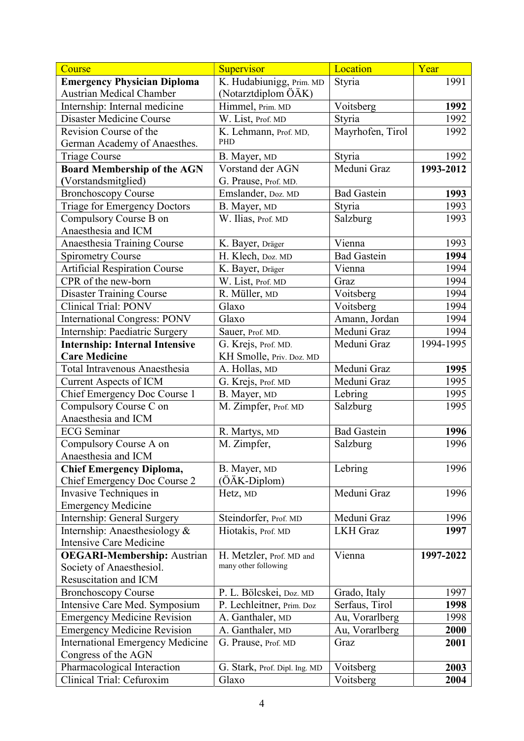| Course                                  | Supervisor                    | Location           | Year      |
|-----------------------------------------|-------------------------------|--------------------|-----------|
| <b>Emergency Physician Diploma</b>      | K. Hudabiunigg, Prim. MD      | Styria             | 1991      |
| <b>Austrian Medical Chamber</b>         | (Notarztdiplom ÖÄK)           |                    |           |
| Internship: Internal medicine           | Himmel, Prim. MD              | Voitsberg          | 1992      |
| <b>Disaster Medicine Course</b>         | W. List, Prof. MD             | Styria             | 1992      |
| Revision Course of the                  | K. Lehmann, Prof. MD,         | Mayrhofen, Tirol   | 1992      |
| German Academy of Anaesthes.            | PHD                           |                    |           |
| Triage Course                           | B. Mayer, MD                  | Styria             | 1992      |
| <b>Board Membership of the AGN</b>      | Vorstand der AGN              | Meduni Graz        | 1993-2012 |
| (Vorstandsmitglied)                     | G. Prause, Prof. MD.          |                    |           |
| <b>Bronchoscopy Course</b>              | Emslander, Doz. MD            | <b>Bad Gastein</b> | 1993      |
| Triage for Emergency Doctors            | B. Mayer, MD                  | Styria             | 1993      |
| Compulsory Course B on                  | W. Ilias, Prof. MD            | Salzburg           | 1993      |
| Anaesthesia and ICM                     |                               |                    |           |
| Anaesthesia Training Course             | K. Bayer, Dräger              | Vienna             | 1993      |
| <b>Spirometry Course</b>                | H. Klech, Doz. MD             | <b>Bad Gastein</b> | 1994      |
| <b>Artificial Respiration Course</b>    | K. Bayer, Dräger              | Vienna             | 1994      |
| CPR of the new-born                     | W. List, Prof. MD             | Graz               | 1994      |
| <b>Disaster Training Course</b>         | R. Müller, MD                 | Voitsberg          | 1994      |
| <b>Clinical Trial: PONV</b>             | Glaxo                         | Voitsberg          | 1994      |
| <b>International Congress: PONV</b>     | Glaxo                         | Amann, Jordan      | 1994      |
| Internship: Paediatric Surgery          | Sauer, Prof. MD.              | Meduni Graz        | 1994      |
| <b>Internship: Internal Intensive</b>   | G. Krejs, Prof. MD.           | Meduni Graz        | 1994-1995 |
| <b>Care Medicine</b>                    | KH Smolle, Priv. Doz. MD      |                    |           |
| <b>Total Intravenous Anaesthesia</b>    | A. Hollas, MD                 | Meduni Graz        | 1995      |
| <b>Current Aspects of ICM</b>           | G. Krejs, Prof. MD            | Meduni Graz        | 1995      |
| Chief Emergency Doc Course 1            | B. Mayer, MD                  | Lebring            | 1995      |
| Compulsory Course C on                  | M. Zimpfer, Prof. MD          | Salzburg           | 1995      |
| Anaesthesia and ICM                     |                               |                    |           |
| <b>ECG</b> Seminar                      | R. Martys, MD                 | <b>Bad Gastein</b> | 1996      |
| Compulsory Course A on                  | M. Zimpfer,                   | Salzburg           | 1996      |
| Anaesthesia and ICM                     |                               |                    |           |
| <b>Chief Emergency Diploma,</b>         | B. Mayer, MD                  | Lebring            | 1996      |
| Chief Emergency Doc Course 2            | (ÖÄK-Diplom)                  |                    |           |
| Invasive Techniques in                  | Hetz, MD                      | Meduni Graz        | 1996      |
| <b>Emergency Medicine</b>               |                               |                    |           |
| Internship: General Surgery             | Steindorfer, Prof. MD         | Meduni Graz        | 1996      |
| Internship: Anaesthesiology &           | Hiotakis, Prof. MD            | <b>LKH</b> Graz    | 1997      |
| <b>Intensive Care Medicine</b>          |                               |                    |           |
| <b>OEGARI-Membership:</b> Austrian      | H. Metzler, Prof. MD and      | Vienna             | 1997-2022 |
| Society of Anaesthesiol.                | many other following          |                    |           |
| Resuscitation and ICM                   |                               |                    |           |
| <b>Bronchoscopy Course</b>              | P. L. Bölcskei, Doz. MD       | Grado, Italy       | 1997      |
| Intensive Care Med. Symposium           | P. Lechleitner, Prim. Doz     | Serfaus, Tirol     | 1998      |
| <b>Emergency Medicine Revision</b>      | A. Ganthaler, MD              | Au, Vorarlberg     | 1998      |
| <b>Emergency Medicine Revision</b>      | A. Ganthaler, MD              | Au, Vorarlberg     | 2000      |
| <b>International Emergency Medicine</b> | G. Prause, Prof. MD           | Graz               | 2001      |
| Congress of the AGN                     |                               |                    |           |
| Pharmacological Interaction             | G. Stark, Prof. Dipl. Ing. MD | Voitsberg          | 2003      |
| Clinical Trial: Cefuroxim               | Glaxo                         | Voitsberg          | 2004      |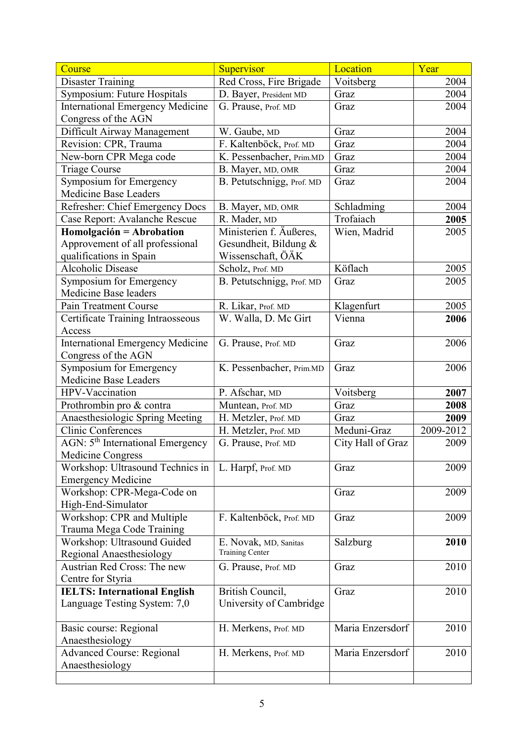| Course                                              | Supervisor                | Location          | Year      |
|-----------------------------------------------------|---------------------------|-------------------|-----------|
| <b>Disaster Training</b>                            | Red Cross, Fire Brigade   | Voitsberg         | 2004      |
| Symposium: Future Hospitals                         | D. Bayer, President MD    | Graz              | 2004      |
| <b>International Emergency Medicine</b>             | G. Prause, Prof. MD       | Graz              | 2004      |
| Congress of the AGN                                 |                           |                   |           |
| Difficult Airway Management                         | W. Gaube, MD              | Graz              | 2004      |
| Revision: CPR, Trauma                               | F. Kaltenböck, Prof. MD   | Graz              | 2004      |
| New-born CPR Mega code                              | K. Pessenbacher, Prim.MD  | Graz              | 2004      |
| <b>Triage Course</b>                                | B. Mayer, MD, OMR         | Graz              | 2004      |
| Symposium for Emergency                             | B. Petutschnigg, Prof. MD | Graz              | 2004      |
| Medicine Base Leaders                               |                           |                   |           |
| Refresher: Chief Emergency Docs                     | B. Mayer, MD, OMR         | Schladming        | 2004      |
| Case Report: Avalanche Rescue                       | R. Mader, MD              | Trofaiach         | 2005      |
| Homolgación = Abrobation                            | Ministerien f. Äußeres,   | Wien, Madrid      | 2005      |
| Approvement of all professional                     | Gesundheit, Bildung &     |                   |           |
| qualifications in Spain                             | Wissenschaft, ÖÄK         |                   |           |
| <b>Alcoholic Disease</b>                            | Scholz, Prof. MD          | Köflach           | 2005      |
| Symposium for Emergency                             | B. Petutschnigg, Prof. MD | Graz              | 2005      |
| Medicine Base leaders                               |                           |                   |           |
| Pain Treatment Course                               | R. Likar, Prof. MD        | Klagenfurt        | 2005      |
| Certificate Training Intraosseous                   | W. Walla, D. Mc Girt      | Vienna            | 2006      |
| Access                                              |                           |                   |           |
| <b>International Emergency Medicine</b>             | G. Prause, Prof. MD       | Graz              | 2006      |
| Congress of the AGN                                 |                           |                   |           |
| Symposium for Emergency                             | K. Pessenbacher, Prim.MD  | Graz              | 2006      |
| Medicine Base Leaders                               |                           |                   |           |
| HPV-Vaccination                                     | P. Afschar, MD            | Voitsberg         | 2007      |
| Prothrombin pro & contra                            | Muntean, Prof. MD         | Graz              | 2008      |
| Anaesthesiologic Spring Meeting                     | H. Metzler, Prof. MD      | Graz              | 2009      |
| <b>Clinic Conferences</b>                           | H. Metzler, Prof. MD      | Meduni-Graz       | 2009-2012 |
| AGN: 5 <sup>th</sup> International Emergency        | G. Prause, Prof. MD       | City Hall of Graz | 2009      |
| Medicine Congress                                   |                           |                   |           |
| Workshop: Ultrasound Technics in                    | L. Harpf, Prof. MD        | Graz              | 2009      |
| <b>Emergency Medicine</b>                           |                           |                   |           |
| Workshop: CPR-Mega-Code on                          |                           | Graz              | 2009      |
| High-End-Simulator                                  |                           |                   |           |
| Workshop: CPR and Multiple                          | F. Kaltenböck, Prof. MD   | Graz              | 2009      |
| Trauma Mega Code Training                           |                           |                   |           |
| Workshop: Ultrasound Guided                         | E. Novak, MD, Sanitas     | Salzburg          | 2010      |
| Regional Anaesthesiology                            | <b>Training Center</b>    |                   |           |
| <b>Austrian Red Cross: The new</b>                  | G. Prause, Prof. MD       | Graz              | 2010      |
| Centre for Styria                                   |                           |                   |           |
| <b>IELTS: International English</b>                 | British Council,          | Graz              | 2010      |
| Language Testing System: 7,0                        | University of Cambridge   |                   |           |
|                                                     |                           |                   |           |
| Basic course: Regional                              | H. Merkens, Prof. MD      | Maria Enzersdorf  | 2010      |
| Anaesthesiology                                     |                           | Maria Enzersdorf  | 2010      |
| <b>Advanced Course: Regional</b><br>Anaesthesiology | H. Merkens, Prof. MD      |                   |           |
|                                                     |                           |                   |           |
|                                                     |                           |                   |           |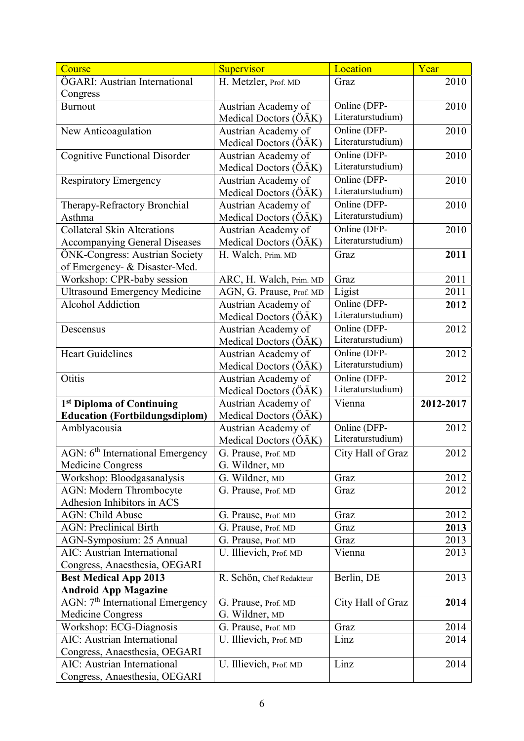| 2010<br>H. Metzler, Prof. MD<br>Graz<br>Congress<br>Online (DFP-<br>2010<br><b>Burnout</b><br>Austrian Academy of<br>Literaturstudium)<br>Medical Doctors (ÖÄK)<br>Online (DFP-<br>2010<br>New Anticoagulation<br>Austrian Academy of<br>Literaturstudium)<br>Medical Doctors (ÖÄK)<br>Online (DFP-<br><b>Cognitive Functional Disorder</b><br>2010<br>Austrian Academy of<br>Literaturstudium)<br>Medical Doctors (ÖÄK)<br>Online (DFP-<br>Austrian Academy of<br>2010<br><b>Respiratory Emergency</b><br>Literaturstudium)<br>Medical Doctors (ÖÄK)<br>Online (DFP-<br>Austrian Academy of<br>2010<br>Therapy-Refractory Bronchial<br>Literaturstudium)<br>Medical Doctors (ÖÄK)<br>Asthma<br>Online (DFP-<br><b>Collateral Skin Alterations</b><br>Austrian Academy of<br>2010<br>Literaturstudium)<br>Medical Doctors (ÖÄK)<br><b>Accompanying General Diseases</b><br>ÖNK-Congress: Austrian Society<br>H. Walch, Prim. MD<br>2011<br>Graz<br>of Emergency- & Disaster-Med.<br>Workshop: CPR-baby session<br>2011<br>ARC, H. Walch, Prim. MD<br>Graz<br>2011<br>Ligist<br><b>Ultrasound Emergency Medicine</b><br>AGN, G. Prause, Prof. MD<br>Online (DFP-<br><b>Alcohol Addiction</b><br>Austrian Academy of<br>2012<br>Literaturstudium)<br>Medical Doctors (ÖÄK)<br>Online (DFP-<br>2012<br>Austrian Academy of<br>Descensus<br>Literaturstudium)<br>Medical Doctors (ÖÄK)<br>Online (DFP-<br><b>Heart Guidelines</b><br>Austrian Academy of<br>2012<br>Literaturstudium)<br>Medical Doctors (ÖÄK)<br>Online (DFP-<br>Otitis<br>2012<br>Austrian Academy of<br>Literaturstudium)<br>Medical Doctors (ÖÄK)<br>1st Diploma of Continuing<br>Austrian Academy of<br>Vienna<br>2012-2017<br><b>Education (Fortbildungsdiplom)</b><br>Medical Doctors (ÖÄK)<br>Online (DFP-<br>2012<br>Amblyacousia<br>Austrian Academy of<br>Literaturstudium)<br>Medical Doctors (ÖÄK)<br>$\overline{\text{AGN}}$ : $6^{\text{th}}$ International Emergency<br>2012<br>City Hall of Graz<br>G. Prause, Prof. MD<br>Medicine Congress<br>G. Wildner, MD | Course                        | Supervisor | Location | Year |
|---------------------------------------------------------------------------------------------------------------------------------------------------------------------------------------------------------------------------------------------------------------------------------------------------------------------------------------------------------------------------------------------------------------------------------------------------------------------------------------------------------------------------------------------------------------------------------------------------------------------------------------------------------------------------------------------------------------------------------------------------------------------------------------------------------------------------------------------------------------------------------------------------------------------------------------------------------------------------------------------------------------------------------------------------------------------------------------------------------------------------------------------------------------------------------------------------------------------------------------------------------------------------------------------------------------------------------------------------------------------------------------------------------------------------------------------------------------------------------------------------------------------------------------------------------------------------------------------------------------------------------------------------------------------------------------------------------------------------------------------------------------------------------------------------------------------------------------------------------------------------------------------------------------------------------------------------------------------------------------------------------------------------------------------|-------------------------------|------------|----------|------|
|                                                                                                                                                                                                                                                                                                                                                                                                                                                                                                                                                                                                                                                                                                                                                                                                                                                                                                                                                                                                                                                                                                                                                                                                                                                                                                                                                                                                                                                                                                                                                                                                                                                                                                                                                                                                                                                                                                                                                                                                                                             | ÖGARI: Austrian International |            |          |      |
|                                                                                                                                                                                                                                                                                                                                                                                                                                                                                                                                                                                                                                                                                                                                                                                                                                                                                                                                                                                                                                                                                                                                                                                                                                                                                                                                                                                                                                                                                                                                                                                                                                                                                                                                                                                                                                                                                                                                                                                                                                             |                               |            |          |      |
|                                                                                                                                                                                                                                                                                                                                                                                                                                                                                                                                                                                                                                                                                                                                                                                                                                                                                                                                                                                                                                                                                                                                                                                                                                                                                                                                                                                                                                                                                                                                                                                                                                                                                                                                                                                                                                                                                                                                                                                                                                             |                               |            |          |      |
|                                                                                                                                                                                                                                                                                                                                                                                                                                                                                                                                                                                                                                                                                                                                                                                                                                                                                                                                                                                                                                                                                                                                                                                                                                                                                                                                                                                                                                                                                                                                                                                                                                                                                                                                                                                                                                                                                                                                                                                                                                             |                               |            |          |      |
|                                                                                                                                                                                                                                                                                                                                                                                                                                                                                                                                                                                                                                                                                                                                                                                                                                                                                                                                                                                                                                                                                                                                                                                                                                                                                                                                                                                                                                                                                                                                                                                                                                                                                                                                                                                                                                                                                                                                                                                                                                             |                               |            |          |      |
|                                                                                                                                                                                                                                                                                                                                                                                                                                                                                                                                                                                                                                                                                                                                                                                                                                                                                                                                                                                                                                                                                                                                                                                                                                                                                                                                                                                                                                                                                                                                                                                                                                                                                                                                                                                                                                                                                                                                                                                                                                             |                               |            |          |      |
|                                                                                                                                                                                                                                                                                                                                                                                                                                                                                                                                                                                                                                                                                                                                                                                                                                                                                                                                                                                                                                                                                                                                                                                                                                                                                                                                                                                                                                                                                                                                                                                                                                                                                                                                                                                                                                                                                                                                                                                                                                             |                               |            |          |      |
|                                                                                                                                                                                                                                                                                                                                                                                                                                                                                                                                                                                                                                                                                                                                                                                                                                                                                                                                                                                                                                                                                                                                                                                                                                                                                                                                                                                                                                                                                                                                                                                                                                                                                                                                                                                                                                                                                                                                                                                                                                             |                               |            |          |      |
|                                                                                                                                                                                                                                                                                                                                                                                                                                                                                                                                                                                                                                                                                                                                                                                                                                                                                                                                                                                                                                                                                                                                                                                                                                                                                                                                                                                                                                                                                                                                                                                                                                                                                                                                                                                                                                                                                                                                                                                                                                             |                               |            |          |      |
|                                                                                                                                                                                                                                                                                                                                                                                                                                                                                                                                                                                                                                                                                                                                                                                                                                                                                                                                                                                                                                                                                                                                                                                                                                                                                                                                                                                                                                                                                                                                                                                                                                                                                                                                                                                                                                                                                                                                                                                                                                             |                               |            |          |      |
|                                                                                                                                                                                                                                                                                                                                                                                                                                                                                                                                                                                                                                                                                                                                                                                                                                                                                                                                                                                                                                                                                                                                                                                                                                                                                                                                                                                                                                                                                                                                                                                                                                                                                                                                                                                                                                                                                                                                                                                                                                             |                               |            |          |      |
|                                                                                                                                                                                                                                                                                                                                                                                                                                                                                                                                                                                                                                                                                                                                                                                                                                                                                                                                                                                                                                                                                                                                                                                                                                                                                                                                                                                                                                                                                                                                                                                                                                                                                                                                                                                                                                                                                                                                                                                                                                             |                               |            |          |      |
|                                                                                                                                                                                                                                                                                                                                                                                                                                                                                                                                                                                                                                                                                                                                                                                                                                                                                                                                                                                                                                                                                                                                                                                                                                                                                                                                                                                                                                                                                                                                                                                                                                                                                                                                                                                                                                                                                                                                                                                                                                             |                               |            |          |      |
|                                                                                                                                                                                                                                                                                                                                                                                                                                                                                                                                                                                                                                                                                                                                                                                                                                                                                                                                                                                                                                                                                                                                                                                                                                                                                                                                                                                                                                                                                                                                                                                                                                                                                                                                                                                                                                                                                                                                                                                                                                             |                               |            |          |      |
|                                                                                                                                                                                                                                                                                                                                                                                                                                                                                                                                                                                                                                                                                                                                                                                                                                                                                                                                                                                                                                                                                                                                                                                                                                                                                                                                                                                                                                                                                                                                                                                                                                                                                                                                                                                                                                                                                                                                                                                                                                             |                               |            |          |      |
|                                                                                                                                                                                                                                                                                                                                                                                                                                                                                                                                                                                                                                                                                                                                                                                                                                                                                                                                                                                                                                                                                                                                                                                                                                                                                                                                                                                                                                                                                                                                                                                                                                                                                                                                                                                                                                                                                                                                                                                                                                             |                               |            |          |      |
|                                                                                                                                                                                                                                                                                                                                                                                                                                                                                                                                                                                                                                                                                                                                                                                                                                                                                                                                                                                                                                                                                                                                                                                                                                                                                                                                                                                                                                                                                                                                                                                                                                                                                                                                                                                                                                                                                                                                                                                                                                             |                               |            |          |      |
|                                                                                                                                                                                                                                                                                                                                                                                                                                                                                                                                                                                                                                                                                                                                                                                                                                                                                                                                                                                                                                                                                                                                                                                                                                                                                                                                                                                                                                                                                                                                                                                                                                                                                                                                                                                                                                                                                                                                                                                                                                             |                               |            |          |      |
|                                                                                                                                                                                                                                                                                                                                                                                                                                                                                                                                                                                                                                                                                                                                                                                                                                                                                                                                                                                                                                                                                                                                                                                                                                                                                                                                                                                                                                                                                                                                                                                                                                                                                                                                                                                                                                                                                                                                                                                                                                             |                               |            |          |      |
|                                                                                                                                                                                                                                                                                                                                                                                                                                                                                                                                                                                                                                                                                                                                                                                                                                                                                                                                                                                                                                                                                                                                                                                                                                                                                                                                                                                                                                                                                                                                                                                                                                                                                                                                                                                                                                                                                                                                                                                                                                             |                               |            |          |      |
|                                                                                                                                                                                                                                                                                                                                                                                                                                                                                                                                                                                                                                                                                                                                                                                                                                                                                                                                                                                                                                                                                                                                                                                                                                                                                                                                                                                                                                                                                                                                                                                                                                                                                                                                                                                                                                                                                                                                                                                                                                             |                               |            |          |      |
|                                                                                                                                                                                                                                                                                                                                                                                                                                                                                                                                                                                                                                                                                                                                                                                                                                                                                                                                                                                                                                                                                                                                                                                                                                                                                                                                                                                                                                                                                                                                                                                                                                                                                                                                                                                                                                                                                                                                                                                                                                             |                               |            |          |      |
|                                                                                                                                                                                                                                                                                                                                                                                                                                                                                                                                                                                                                                                                                                                                                                                                                                                                                                                                                                                                                                                                                                                                                                                                                                                                                                                                                                                                                                                                                                                                                                                                                                                                                                                                                                                                                                                                                                                                                                                                                                             |                               |            |          |      |
|                                                                                                                                                                                                                                                                                                                                                                                                                                                                                                                                                                                                                                                                                                                                                                                                                                                                                                                                                                                                                                                                                                                                                                                                                                                                                                                                                                                                                                                                                                                                                                                                                                                                                                                                                                                                                                                                                                                                                                                                                                             |                               |            |          |      |
|                                                                                                                                                                                                                                                                                                                                                                                                                                                                                                                                                                                                                                                                                                                                                                                                                                                                                                                                                                                                                                                                                                                                                                                                                                                                                                                                                                                                                                                                                                                                                                                                                                                                                                                                                                                                                                                                                                                                                                                                                                             |                               |            |          |      |
|                                                                                                                                                                                                                                                                                                                                                                                                                                                                                                                                                                                                                                                                                                                                                                                                                                                                                                                                                                                                                                                                                                                                                                                                                                                                                                                                                                                                                                                                                                                                                                                                                                                                                                                                                                                                                                                                                                                                                                                                                                             |                               |            |          |      |
|                                                                                                                                                                                                                                                                                                                                                                                                                                                                                                                                                                                                                                                                                                                                                                                                                                                                                                                                                                                                                                                                                                                                                                                                                                                                                                                                                                                                                                                                                                                                                                                                                                                                                                                                                                                                                                                                                                                                                                                                                                             |                               |            |          |      |
|                                                                                                                                                                                                                                                                                                                                                                                                                                                                                                                                                                                                                                                                                                                                                                                                                                                                                                                                                                                                                                                                                                                                                                                                                                                                                                                                                                                                                                                                                                                                                                                                                                                                                                                                                                                                                                                                                                                                                                                                                                             |                               |            |          |      |
|                                                                                                                                                                                                                                                                                                                                                                                                                                                                                                                                                                                                                                                                                                                                                                                                                                                                                                                                                                                                                                                                                                                                                                                                                                                                                                                                                                                                                                                                                                                                                                                                                                                                                                                                                                                                                                                                                                                                                                                                                                             |                               |            |          |      |
|                                                                                                                                                                                                                                                                                                                                                                                                                                                                                                                                                                                                                                                                                                                                                                                                                                                                                                                                                                                                                                                                                                                                                                                                                                                                                                                                                                                                                                                                                                                                                                                                                                                                                                                                                                                                                                                                                                                                                                                                                                             |                               |            |          |      |
|                                                                                                                                                                                                                                                                                                                                                                                                                                                                                                                                                                                                                                                                                                                                                                                                                                                                                                                                                                                                                                                                                                                                                                                                                                                                                                                                                                                                                                                                                                                                                                                                                                                                                                                                                                                                                                                                                                                                                                                                                                             |                               |            |          |      |
|                                                                                                                                                                                                                                                                                                                                                                                                                                                                                                                                                                                                                                                                                                                                                                                                                                                                                                                                                                                                                                                                                                                                                                                                                                                                                                                                                                                                                                                                                                                                                                                                                                                                                                                                                                                                                                                                                                                                                                                                                                             |                               |            |          |      |
| Workshop: Bloodgasanalysis<br>2012<br>G. Wildner, MD<br>Graz                                                                                                                                                                                                                                                                                                                                                                                                                                                                                                                                                                                                                                                                                                                                                                                                                                                                                                                                                                                                                                                                                                                                                                                                                                                                                                                                                                                                                                                                                                                                                                                                                                                                                                                                                                                                                                                                                                                                                                                |                               |            |          |      |
| AGN: Modern Thrombocyte<br>2012<br>G. Prause, Prof. MD<br>Graz                                                                                                                                                                                                                                                                                                                                                                                                                                                                                                                                                                                                                                                                                                                                                                                                                                                                                                                                                                                                                                                                                                                                                                                                                                                                                                                                                                                                                                                                                                                                                                                                                                                                                                                                                                                                                                                                                                                                                                              |                               |            |          |      |
| Adhesion Inhibitors in ACS                                                                                                                                                                                                                                                                                                                                                                                                                                                                                                                                                                                                                                                                                                                                                                                                                                                                                                                                                                                                                                                                                                                                                                                                                                                                                                                                                                                                                                                                                                                                                                                                                                                                                                                                                                                                                                                                                                                                                                                                                  |                               |            |          |      |
| <b>AGN: Child Abuse</b><br>2012<br>G. Prause, Prof. MD<br>Graz                                                                                                                                                                                                                                                                                                                                                                                                                                                                                                                                                                                                                                                                                                                                                                                                                                                                                                                                                                                                                                                                                                                                                                                                                                                                                                                                                                                                                                                                                                                                                                                                                                                                                                                                                                                                                                                                                                                                                                              |                               |            |          |      |
| <b>AGN: Preclinical Birth</b><br>G. Prause, Prof. MD<br>2013<br>Graz                                                                                                                                                                                                                                                                                                                                                                                                                                                                                                                                                                                                                                                                                                                                                                                                                                                                                                                                                                                                                                                                                                                                                                                                                                                                                                                                                                                                                                                                                                                                                                                                                                                                                                                                                                                                                                                                                                                                                                        |                               |            |          |      |
| AGN-Symposium: 25 Annual<br>2013<br>Graz<br>G. Prause, Prof. MD                                                                                                                                                                                                                                                                                                                                                                                                                                                                                                                                                                                                                                                                                                                                                                                                                                                                                                                                                                                                                                                                                                                                                                                                                                                                                                                                                                                                                                                                                                                                                                                                                                                                                                                                                                                                                                                                                                                                                                             |                               |            |          |      |
| <b>AIC:</b> Austrian International<br>U. Illievich, Prof. MD<br>2013<br>Vienna                                                                                                                                                                                                                                                                                                                                                                                                                                                                                                                                                                                                                                                                                                                                                                                                                                                                                                                                                                                                                                                                                                                                                                                                                                                                                                                                                                                                                                                                                                                                                                                                                                                                                                                                                                                                                                                                                                                                                              |                               |            |          |      |
| Congress, Anaesthesia, OEGARI                                                                                                                                                                                                                                                                                                                                                                                                                                                                                                                                                                                                                                                                                                                                                                                                                                                                                                                                                                                                                                                                                                                                                                                                                                                                                                                                                                                                                                                                                                                                                                                                                                                                                                                                                                                                                                                                                                                                                                                                               |                               |            |          |      |
| 2013<br><b>Best Medical App 2013</b><br>Berlin, DE<br>R. Schön, Chef Redakteur                                                                                                                                                                                                                                                                                                                                                                                                                                                                                                                                                                                                                                                                                                                                                                                                                                                                                                                                                                                                                                                                                                                                                                                                                                                                                                                                                                                                                                                                                                                                                                                                                                                                                                                                                                                                                                                                                                                                                              |                               |            |          |      |
| <b>Android App Magazine</b>                                                                                                                                                                                                                                                                                                                                                                                                                                                                                                                                                                                                                                                                                                                                                                                                                                                                                                                                                                                                                                                                                                                                                                                                                                                                                                                                                                                                                                                                                                                                                                                                                                                                                                                                                                                                                                                                                                                                                                                                                 |                               |            |          |      |
| AGN: $7th$ International Emergency<br>City Hall of Graz<br>2014<br>G. Prause, Prof. MD                                                                                                                                                                                                                                                                                                                                                                                                                                                                                                                                                                                                                                                                                                                                                                                                                                                                                                                                                                                                                                                                                                                                                                                                                                                                                                                                                                                                                                                                                                                                                                                                                                                                                                                                                                                                                                                                                                                                                      |                               |            |          |      |
| <b>Medicine Congress</b><br>G. Wildner, MD                                                                                                                                                                                                                                                                                                                                                                                                                                                                                                                                                                                                                                                                                                                                                                                                                                                                                                                                                                                                                                                                                                                                                                                                                                                                                                                                                                                                                                                                                                                                                                                                                                                                                                                                                                                                                                                                                                                                                                                                  |                               |            |          |      |
| Workshop: ECG-Diagnosis<br>2014<br>G. Prause, Prof. MD<br>Graz                                                                                                                                                                                                                                                                                                                                                                                                                                                                                                                                                                                                                                                                                                                                                                                                                                                                                                                                                                                                                                                                                                                                                                                                                                                                                                                                                                                                                                                                                                                                                                                                                                                                                                                                                                                                                                                                                                                                                                              |                               |            |          |      |
| <b>AIC:</b> Austrian International<br>2014<br>U. Illievich, Prof. MD<br>Linz                                                                                                                                                                                                                                                                                                                                                                                                                                                                                                                                                                                                                                                                                                                                                                                                                                                                                                                                                                                                                                                                                                                                                                                                                                                                                                                                                                                                                                                                                                                                                                                                                                                                                                                                                                                                                                                                                                                                                                |                               |            |          |      |
| Congress, Anaesthesia, OEGARI                                                                                                                                                                                                                                                                                                                                                                                                                                                                                                                                                                                                                                                                                                                                                                                                                                                                                                                                                                                                                                                                                                                                                                                                                                                                                                                                                                                                                                                                                                                                                                                                                                                                                                                                                                                                                                                                                                                                                                                                               |                               |            |          |      |
| Linz<br><b>AIC:</b> Austrian International<br>2014<br>U. Illievich, Prof. MD                                                                                                                                                                                                                                                                                                                                                                                                                                                                                                                                                                                                                                                                                                                                                                                                                                                                                                                                                                                                                                                                                                                                                                                                                                                                                                                                                                                                                                                                                                                                                                                                                                                                                                                                                                                                                                                                                                                                                                |                               |            |          |      |
| Congress, Anaesthesia, OEGARI                                                                                                                                                                                                                                                                                                                                                                                                                                                                                                                                                                                                                                                                                                                                                                                                                                                                                                                                                                                                                                                                                                                                                                                                                                                                                                                                                                                                                                                                                                                                                                                                                                                                                                                                                                                                                                                                                                                                                                                                               |                               |            |          |      |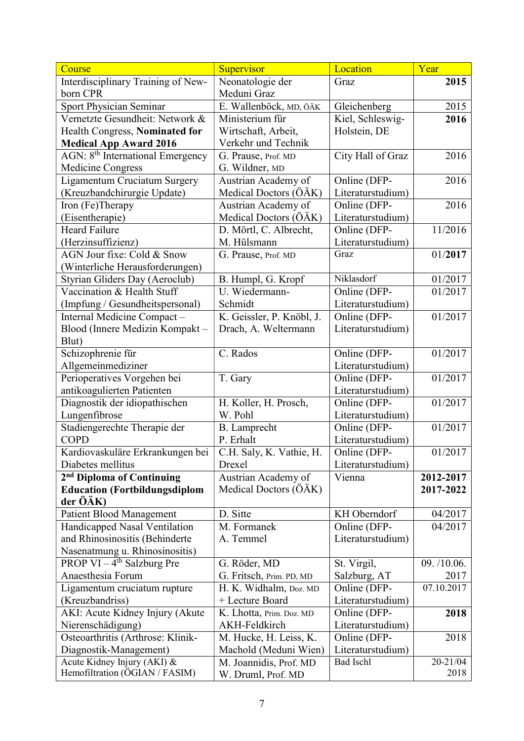| Course                                                        | Supervisor                   | Location          | Year             |
|---------------------------------------------------------------|------------------------------|-------------------|------------------|
| Interdisciplinary Training of New-                            | Neonatologie der             | Graz              | 2015             |
| born CPR                                                      | Meduni Graz                  |                   |                  |
| Sport Physician Seminar                                       | E. Wallenböck, MD, ÖÄK       | Gleichenberg      | 2015             |
| Vernetzte Gesundheit: Network &                               | Ministerium für              | Kiel, Schleswig-  | 2016             |
| Health Congress, Nominated for                                | Wirtschaft, Arbeit,          | Holstein, DE      |                  |
| <b>Medical App Award 2016</b>                                 | Verkehr und Technik          |                   |                  |
| AGN: 8 <sup>th</sup> International Emergency                  | G. Prause, Prof. MD          | City Hall of Graz | 2016             |
| <b>Medicine Congress</b>                                      | G. Wildner, MD               |                   |                  |
| Ligamentum Cruciatum Surgery                                  | Austrian Academy of          | Online (DFP-      | 2016             |
| (Kreuzbandchirurgie Update)                                   | Medical Doctors (ÖÄK)        | Literaturstudium) |                  |
| Iron (Fe)Therapy                                              | Austrian Academy of          | Online (DFP-      | 2016             |
| (Eisentherapie)                                               | Medical Doctors (ÖÄK)        | Literaturstudium) |                  |
| <b>Heard Failure</b>                                          | D. Mörtl, C. Albrecht,       | Online (DFP-      | 11/2016          |
| (Herzinsuffizienz)                                            | M. Hülsmann                  | Literaturstudium) |                  |
| AGN Jour fixe: Cold & Snow                                    | G. Prause, Prof. MD          | Graz              | 01/2017          |
| (Winterliche Herausforderungen)                               |                              |                   |                  |
| Styrian Gliders Day (Aeroclub)                                | B. Humpl, G. Kropf           | Niklasdorf        | 01/2017          |
| Vaccination & Health Stuff                                    | $\overline{U}$ . Wiedermann- | Online (DFP-      | 01/2017          |
| (Impfung / Gesundheitspersonal)                               | Schmidt                      | Literaturstudium) |                  |
| Internal Medicine Compact-                                    | K. Geissler, P. Knöbl, J.    | Online (DFP-      | 01/2017          |
| Blood (Innere Medizin Kompakt -                               | Drach, A. Weltermann         | Literaturstudium) |                  |
| Blut)                                                         |                              |                   |                  |
| Schizophrenie für                                             | C. Rados                     | Online (DFP-      | 01/2017          |
| Allgemeinmediziner                                            |                              | Literaturstudium) |                  |
| Perioperatives Vorgehen bei                                   | T. Gary                      | Online (DFP-      | 01/2017          |
| antikoagulierten Patienten                                    |                              | Literaturstudium) |                  |
| Diagnostik der idiopathischen                                 | H. Koller, H. Prosch,        | Online (DFP-      | 01/2017          |
| Lungenfibrose                                                 | W. Pohl                      | Literaturstudium) |                  |
| Stadiengerechte Therapie der                                  | <b>B.</b> Lamprecht          | Online (DFP-      | 01/2017          |
| <b>COPD</b>                                                   | P. Erhalt                    | Literaturstudium) |                  |
| Kardiovaskuläre Erkrankungen bei                              | C.H. Saly, K. Vathie, H.     | Online (DFP-      | 01/2017          |
| Diabetes mellitus                                             | Drexel                       | Literaturstudium) |                  |
| 2 <sup>nd</sup> Diploma of Continuing                         | Austrian Academy of          | Vienna            | 2012-2017        |
| <b>Education (Fortbildungsdiplom</b>                          | Medical Doctors (ÖÄK)        |                   | 2017-2022        |
| der ÖÄK)                                                      |                              |                   |                  |
| <b>Patient Blood Management</b>                               | D. Sitte                     | KH Oberndorf      | 04/2017          |
| Handicapped Nasal Ventilation                                 | M. Formanek                  | Online (DFP-      | 04/2017          |
| and Rhinosinositis (Behinderte                                | A. Temmel                    | Literaturstudium) |                  |
| Nasenatmung u. Rhinosinositis)                                |                              |                   |                  |
| PROP $VI - 4th$ Salzburg Pre                                  | G. Röder, MD                 | St. Virgil,       | 09. /10.06.      |
| Anaesthesia Forum                                             | G. Fritsch, Prim. PD, MD     | Salzburg, AT      | 2017             |
| Ligamentum cruciatum rupture                                  | H. K. Widhalm, Doz. MD       | Online (DFP-      | 07.10.2017       |
| (Kreuzbandriss)                                               | + Lecture Board              | Literaturstudium) |                  |
| AKI: Acute Kidney Injury (Akute                               | K. Lhotta, Prim. Doz. MD     | Online (DFP-      | 2018             |
| Nierenschädigung)                                             | AKH-Feldkirch                | Literaturstudium) |                  |
| Osteoarthritis (Arthrose: Klinik-                             | M. Hucke, H. Leiss, K.       | Online (DFP-      | 2018             |
| Diagnostik-Management)                                        | Machold (Meduni Wien)        | Literaturstudium) |                  |
| Acute Kidney Injury (AKI) &<br>Hemofiltration (ÖGIAN / FASIM) | M. Joannidis, Prof. MD       | <b>Bad Ischl</b>  | 20-21/04<br>2018 |
|                                                               | W. Druml, Prof. MD           |                   |                  |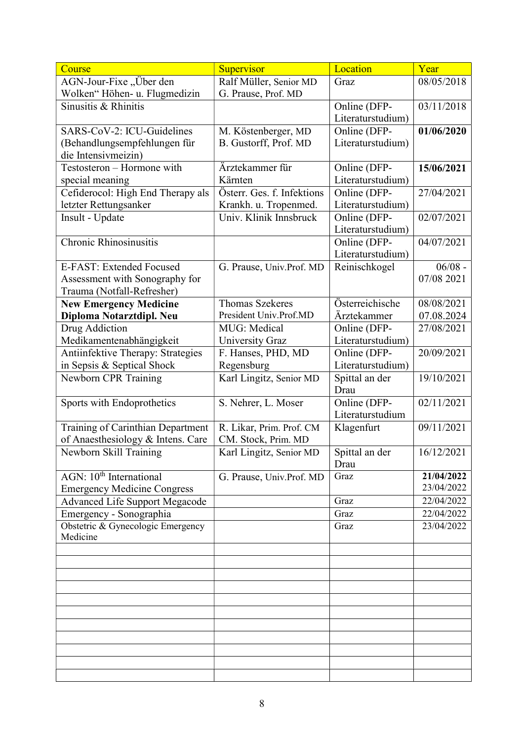| Course                                | Supervisor                 | Location                         | Year       |
|---------------------------------------|----------------------------|----------------------------------|------------|
| AGN-Jour-Fixe, Über den               | Ralf Müller, Senior MD     | Graz                             | 08/05/2018 |
| Wolken" Höhen- u. Flugmedizin         | G. Prause, Prof. MD        |                                  |            |
| Sinusitis & Rhinitis                  |                            | Online (DFP-                     | 03/11/2018 |
|                                       |                            | Literaturstudium)                |            |
| SARS-CoV-2: ICU-Guidelines            | M. Köstenberger, MD        | Online (DFP-                     | 01/06/2020 |
| (Behandlungsempfehlungen für          | B. Gustorff, Prof. MD      | Literaturstudium)                |            |
| die Intensivmeizin)                   |                            |                                  |            |
| Testosteron - Hormone with            | Ärztekammer für            | Online (DFP-                     | 15/06/2021 |
| special meaning                       | Kärnten                    | Literaturstudium)                |            |
| Cefiderocol: High End Therapy als     | Österr. Ges. f. Infektions | Online (DFP-                     | 27/04/2021 |
| letzter Rettungsanker                 | Krankh. u. Tropenmed.      | Literaturstudium)                |            |
| Insult - Update                       | Univ. Klinik Innsbruck     | Online (DFP-                     | 02/07/2021 |
|                                       |                            | Literaturstudium)                |            |
| <b>Chronic Rhinosinusitis</b>         |                            | Online (DFP-                     | 04/07/2021 |
|                                       |                            | Literaturstudium)                |            |
| E-FAST: Extended Focused              | G. Prause, Univ.Prof. MD   | Reinischkogel                    | $06/08 -$  |
| Assessment with Sonography for        |                            |                                  | 07/08 2021 |
| Trauma (Notfall-Refresher)            |                            |                                  |            |
| <b>New Emergency Medicine</b>         | <b>Thomas Szekeres</b>     | Österreichische                  | 08/08/2021 |
| Diploma Notarztdipl. Neu              | President Univ.Prof.MD     | Ärztekammer                      | 07.08.2024 |
| Drug Addiction                        | MUG: Medical               | Online (DFP-                     | 27/08/2021 |
| Medikamentenabhängigkeit              | <b>University Graz</b>     | Literaturstudium)                |            |
| Antiinfektive Therapy: Strategies     | F. Hanses, PHD, MD         | Online (DFP-                     | 20/09/2021 |
| in Sepsis & Septical Shock            | Regensburg                 | Literaturstudium)                |            |
| Newborn CPR Training                  | Karl Lingitz, Senior MD    | Spittal an der<br>Drau           | 19/10/2021 |
| Sports with Endoprothetics            | S. Nehrer, L. Moser        | Online (DFP-<br>Literaturstudium | 02/11/2021 |
| Training of Carinthian Department     | R. Likar, Prim. Prof. CM   | Klagenfurt                       | 09/11/2021 |
| of Anaesthesiology & Intens. Care     | CM. Stock, Prim. MD        |                                  |            |
| Newborn Skill Training                | Karl Lingitz, Senior MD    | Spittal an der                   | 16/12/2021 |
|                                       |                            | Drau                             |            |
| AGN: 10 <sup>th</sup> International   | G. Prause, Univ.Prof. MD   | Graz                             | 21/04/2022 |
| <b>Emergency Medicine Congress</b>    |                            |                                  | 23/04/2022 |
| <b>Advanced Life Support Megacode</b> |                            | Graz                             | 22/04/2022 |
| Emergency - Sonographia               |                            | Graz                             | 22/04/2022 |
| Obstetric & Gynecologic Emergency     |                            | Graz                             | 23/04/2022 |
| Medicine                              |                            |                                  |            |
|                                       |                            |                                  |            |
|                                       |                            |                                  |            |
|                                       |                            |                                  |            |
|                                       |                            |                                  |            |
|                                       |                            |                                  |            |
|                                       |                            |                                  |            |
|                                       |                            |                                  |            |
|                                       |                            |                                  |            |
|                                       |                            |                                  |            |
|                                       |                            |                                  |            |
|                                       |                            |                                  |            |
|                                       |                            |                                  |            |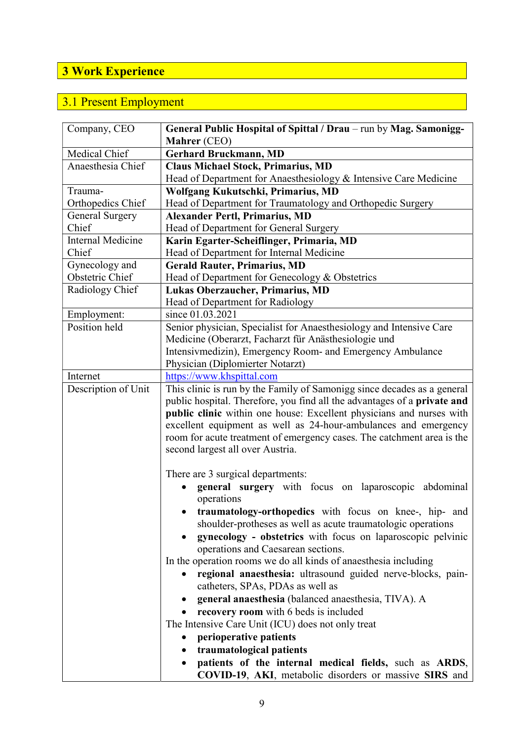## 3 Work Experience

## 3.1 Present Employment

| Company, CEO             | General Public Hospital of Spittal / Drau – run by Mag. Samonigg-                                                                                                                                                                                                                                                                                                                                                                                                                                                                                                                                                                                                                                                                                 |
|--------------------------|---------------------------------------------------------------------------------------------------------------------------------------------------------------------------------------------------------------------------------------------------------------------------------------------------------------------------------------------------------------------------------------------------------------------------------------------------------------------------------------------------------------------------------------------------------------------------------------------------------------------------------------------------------------------------------------------------------------------------------------------------|
|                          | Mahrer (CEO)                                                                                                                                                                                                                                                                                                                                                                                                                                                                                                                                                                                                                                                                                                                                      |
| Medical Chief            | <b>Gerhard Bruckmann, MD</b>                                                                                                                                                                                                                                                                                                                                                                                                                                                                                                                                                                                                                                                                                                                      |
| Anaesthesia Chief        | <b>Claus Michael Stock, Primarius, MD</b>                                                                                                                                                                                                                                                                                                                                                                                                                                                                                                                                                                                                                                                                                                         |
|                          | Head of Department for Anaesthesiology & Intensive Care Medicine                                                                                                                                                                                                                                                                                                                                                                                                                                                                                                                                                                                                                                                                                  |
| Trauma-                  | Wolfgang Kukutschki, Primarius, MD                                                                                                                                                                                                                                                                                                                                                                                                                                                                                                                                                                                                                                                                                                                |
| Orthopedics Chief        | Head of Department for Traumatology and Orthopedic Surgery                                                                                                                                                                                                                                                                                                                                                                                                                                                                                                                                                                                                                                                                                        |
| General Surgery          | <b>Alexander Pertl, Primarius, MD</b>                                                                                                                                                                                                                                                                                                                                                                                                                                                                                                                                                                                                                                                                                                             |
| Chief                    | Head of Department for General Surgery                                                                                                                                                                                                                                                                                                                                                                                                                                                                                                                                                                                                                                                                                                            |
| <b>Internal Medicine</b> | Karin Egarter-Scheiflinger, Primaria, MD                                                                                                                                                                                                                                                                                                                                                                                                                                                                                                                                                                                                                                                                                                          |
| Chief                    | Head of Department for Internal Medicine                                                                                                                                                                                                                                                                                                                                                                                                                                                                                                                                                                                                                                                                                                          |
| Gynecology and           | <b>Gerald Rauter, Primarius, MD</b>                                                                                                                                                                                                                                                                                                                                                                                                                                                                                                                                                                                                                                                                                                               |
| Obstetric Chief          | Head of Department for Genecology & Obstetrics                                                                                                                                                                                                                                                                                                                                                                                                                                                                                                                                                                                                                                                                                                    |
| Radiology Chief          | Lukas Oberzaucher, Primarius, MD                                                                                                                                                                                                                                                                                                                                                                                                                                                                                                                                                                                                                                                                                                                  |
|                          | Head of Department for Radiology                                                                                                                                                                                                                                                                                                                                                                                                                                                                                                                                                                                                                                                                                                                  |
| Employment:              | since 01.03.2021                                                                                                                                                                                                                                                                                                                                                                                                                                                                                                                                                                                                                                                                                                                                  |
| Position held            | Senior physician, Specialist for Anaesthesiology and Intensive Care                                                                                                                                                                                                                                                                                                                                                                                                                                                                                                                                                                                                                                                                               |
|                          | Medicine (Oberarzt, Facharzt für Anästhesiologie und                                                                                                                                                                                                                                                                                                                                                                                                                                                                                                                                                                                                                                                                                              |
|                          | Intensivmedizin), Emergency Room- and Emergency Ambulance                                                                                                                                                                                                                                                                                                                                                                                                                                                                                                                                                                                                                                                                                         |
|                          | Physician (Diplomierter Notarzt)                                                                                                                                                                                                                                                                                                                                                                                                                                                                                                                                                                                                                                                                                                                  |
| Internet                 | https://www.khspittal.com                                                                                                                                                                                                                                                                                                                                                                                                                                                                                                                                                                                                                                                                                                                         |
| Description of Unit      | This clinic is run by the Family of Samonigg since decades as a general<br>public hospital. Therefore, you find all the advantages of a private and<br>public clinic within one house: Excellent physicians and nurses with<br>excellent equipment as well as 24-hour-ambulances and emergency<br>room for acute treatment of emergency cases. The catchment area is the<br>second largest all over Austria.                                                                                                                                                                                                                                                                                                                                      |
|                          | There are 3 surgical departments:<br>general surgery with focus on laparoscopic abdominal<br>operations<br>traumatology-orthopedics with focus on knee-, hip- and<br>shoulder-protheses as well as acute traumatologic operations<br>gynecology - obstetrics with focus on laparoscopic pelvinic<br>operations and Caesarean sections.<br>In the operation rooms we do all kinds of anaesthesia including<br>regional anaesthesia: ultrasound guided nerve-blocks, pain-<br>catheters, SPAs, PDAs as well as<br>general anaesthesia (balanced anaesthesia, TIVA). A<br>$\bullet$<br>recovery room with 6 beds is included<br>The Intensive Care Unit (ICU) does not only treat<br>perioperative patients<br>traumatological patients<br>$\bullet$ |
|                          | patients of the internal medical fields, such as ARDS,<br>COVID-19, AKI, metabolic disorders or massive SIRS and                                                                                                                                                                                                                                                                                                                                                                                                                                                                                                                                                                                                                                  |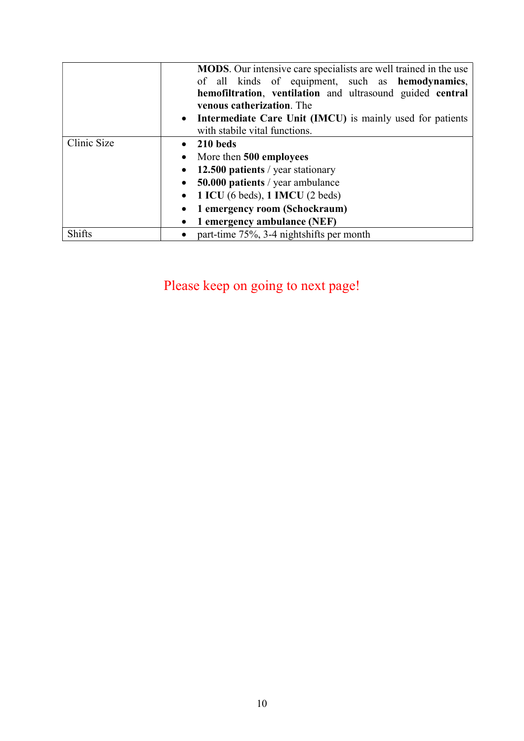|               | MODS. Our intensive care specialists are well trained in the use<br>of all kinds of equipment, such as hemodynamics, |  |  |
|---------------|----------------------------------------------------------------------------------------------------------------------|--|--|
|               | hemofiltration, ventilation and ultrasound guided central                                                            |  |  |
|               | venous catherization. The                                                                                            |  |  |
|               | • Intermediate Care Unit (IMCU) is mainly used for patients                                                          |  |  |
|               | with stabile vital functions.                                                                                        |  |  |
| Clinic Size   | 210 beds                                                                                                             |  |  |
|               | More then 500 employees<br>$\bullet$                                                                                 |  |  |
|               | 12.500 patients / year stationary                                                                                    |  |  |
|               | 50.000 patients / year ambulance                                                                                     |  |  |
|               | 1 ICU (6 beds), 1 IMCU (2 beds)                                                                                      |  |  |
|               | 1 emergency room (Schockraum)                                                                                        |  |  |
|               | 1 emergency ambulance (NEF)<br>$\bullet$                                                                             |  |  |
| <b>Shifts</b> | part-time 75%, 3-4 nightshifts per month<br>$\bullet$                                                                |  |  |

Please keep on going to next page!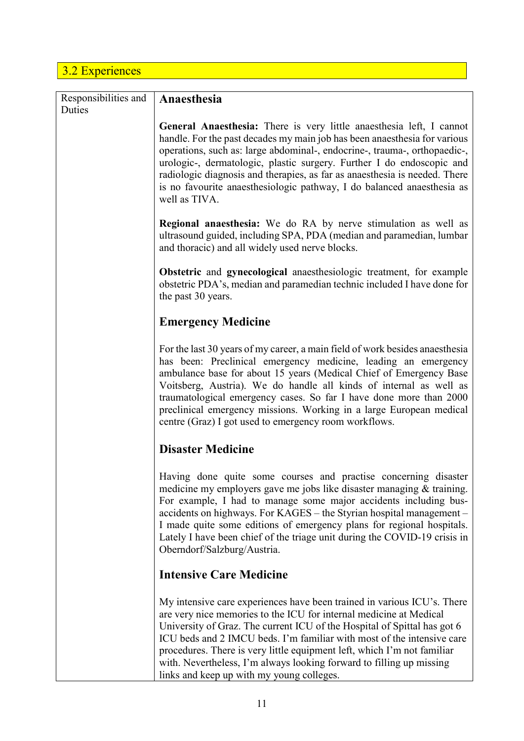## 3.2 Experiences

| Responsibilities and<br>Duties | Anaesthesia                                                                                                                                                                                                                                                                                                                                                                                                                                                                                         |
|--------------------------------|-----------------------------------------------------------------------------------------------------------------------------------------------------------------------------------------------------------------------------------------------------------------------------------------------------------------------------------------------------------------------------------------------------------------------------------------------------------------------------------------------------|
|                                | General Anaesthesia: There is very little anaesthesia left, I cannot<br>handle. For the past decades my main job has been anaesthesia for various<br>operations, such as: large abdominal-, endocrine-, trauma-, orthopaedic-,<br>urologic-, dermatologic, plastic surgery. Further I do endoscopic and<br>radiologic diagnosis and therapies, as far as anaesthesia is needed. There<br>is no favourite anaesthesiologic pathway, I do balanced anaesthesia as<br>well as TIVA.                    |
|                                | <b>Regional anaesthesia:</b> We do RA by nerve stimulation as well as<br>ultrasound guided, including SPA, PDA (median and paramedian, lumbar<br>and thoracic) and all widely used nerve blocks.                                                                                                                                                                                                                                                                                                    |
|                                | Obstetric and gynecological anaesthesiologic treatment, for example<br>obstetric PDA's, median and paramedian technic included I have done for<br>the past 30 years.                                                                                                                                                                                                                                                                                                                                |
|                                | <b>Emergency Medicine</b>                                                                                                                                                                                                                                                                                                                                                                                                                                                                           |
|                                | For the last 30 years of my career, a main field of work besides anaesthesia<br>has been: Preclinical emergency medicine, leading an emergency<br>ambulance base for about 15 years (Medical Chief of Emergency Base<br>Voitsberg, Austria). We do handle all kinds of internal as well as<br>traumatological emergency cases. So far I have done more than 2000<br>preclinical emergency missions. Working in a large European medical<br>centre (Graz) I got used to emergency room workflows.    |
|                                | <b>Disaster Medicine</b>                                                                                                                                                                                                                                                                                                                                                                                                                                                                            |
|                                | Having done quite some courses and practise concerning disaster<br>medicine my employers gave me jobs like disaster managing & training.<br>For example, I had to manage some major accidents including bus-<br>accidents on highways. For KAGES – the Styrian hospital management –<br>I made quite some editions of emergency plans for regional hospitals.<br>Lately I have been chief of the triage unit during the COVID-19 crisis in<br>Oberndorf/Salzburg/Austria.                           |
|                                | <b>Intensive Care Medicine</b>                                                                                                                                                                                                                                                                                                                                                                                                                                                                      |
|                                | My intensive care experiences have been trained in various ICU's. There<br>are very nice memories to the ICU for internal medicine at Medical<br>University of Graz. The current ICU of the Hospital of Spittal has got 6<br>ICU beds and 2 IMCU beds. I'm familiar with most of the intensive care<br>procedures. There is very little equipment left, which I'm not familiar<br>with. Nevertheless, I'm always looking forward to filling up missing<br>links and keep up with my young colleges. |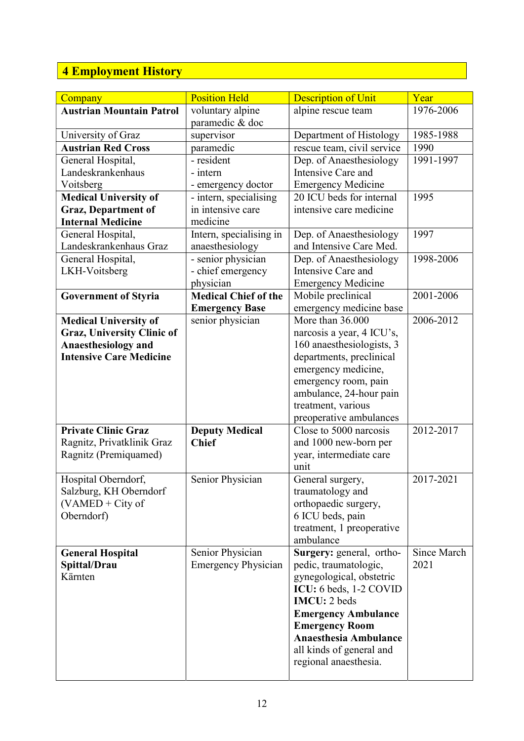## 4 Employment History

| Company                         | <b>Position Held</b>        | <b>Description of Unit</b>                        | Year        |
|---------------------------------|-----------------------------|---------------------------------------------------|-------------|
| <b>Austrian Mountain Patrol</b> | voluntary alpine            | alpine rescue team                                | 1976-2006   |
|                                 | paramedic & doc             |                                                   |             |
| University of Graz              | supervisor                  | Department of Histology                           | 1985-1988   |
| <b>Austrian Red Cross</b>       | paramedic                   | rescue team, civil service                        | 1990        |
| General Hospital,               | - resident                  | Dep. of Anaesthesiology                           | 1991-1997   |
| Landeskrankenhaus               | - intern                    | Intensive Care and                                |             |
| Voitsberg                       | - emergency doctor          | <b>Emergency Medicine</b>                         |             |
| <b>Medical University of</b>    | - intern, specialising      | 20 ICU beds for internal                          | 1995        |
| <b>Graz, Department of</b>      | in intensive care           | intensive care medicine                           |             |
| <b>Internal Medicine</b>        | medicine                    |                                                   |             |
| General Hospital,               | Intern, specialising in     | Dep. of Anaesthesiology                           | 1997        |
| Landeskrankenhaus Graz          | anaesthesiology             | and Intensive Care Med.                           |             |
| General Hospital,               | - senior physician          | Dep. of Anaesthesiology                           | 1998-2006   |
| LKH-Voitsberg                   | - chief emergency           | Intensive Care and                                |             |
|                                 | physician                   | <b>Emergency Medicine</b>                         |             |
| <b>Government of Styria</b>     | <b>Medical Chief of the</b> | Mobile preclinical                                | 2001-2006   |
|                                 | <b>Emergency Base</b>       | emergency medicine base                           |             |
| <b>Medical University of</b>    | senior physician            | More than 36.000                                  | 2006-2012   |
| Graz, University Clinic of      |                             | narcosis a year, 4 ICU's,                         |             |
| <b>Anaesthesiology and</b>      |                             | 160 anaesthesiologists, 3                         |             |
| <b>Intensive Care Medicine</b>  |                             | departments, preclinical                          |             |
|                                 |                             | emergency medicine,                               |             |
|                                 |                             | emergency room, pain                              |             |
|                                 |                             | ambulance, 24-hour pain                           |             |
|                                 |                             | treatment, various                                |             |
| <b>Private Clinic Graz</b>      | <b>Deputy Medical</b>       | preoperative ambulances<br>Close to 5000 narcosis | 2012-2017   |
| Ragnitz, Privatklinik Graz      | <b>Chief</b>                | and 1000 new-born per                             |             |
| Ragnitz (Premiquamed)           |                             | year, intermediate care                           |             |
|                                 |                             | unit                                              |             |
| Hospital Oberndorf,             | Senior Physician            | General surgery,                                  | 2017-2021   |
| Salzburg, KH Oberndorf          |                             | traumatology and                                  |             |
| $(VAMED + City of$              |                             | orthopaedic surgery,                              |             |
| Oberndorf)                      |                             | 6 ICU beds, pain                                  |             |
|                                 |                             | treatment, 1 preoperative                         |             |
|                                 |                             | ambulance                                         |             |
| <b>General Hospital</b>         | Senior Physician            | Surgery: general, ortho-                          | Since March |
| Spittal/Drau                    | <b>Emergency Physician</b>  | pedic, traumatologic,                             | 2021        |
| Kärnten                         |                             | gynegological, obstetric                          |             |
|                                 |                             | ICU: 6 beds, 1-2 COVID                            |             |
|                                 |                             | <b>IMCU</b> : 2 beds                              |             |
|                                 |                             | <b>Emergency Ambulance</b>                        |             |
|                                 |                             | <b>Emergency Room</b>                             |             |
|                                 |                             | <b>Anaesthesia Ambulance</b>                      |             |
|                                 |                             | all kinds of general and                          |             |
|                                 |                             | regional anaesthesia.                             |             |
|                                 |                             |                                                   |             |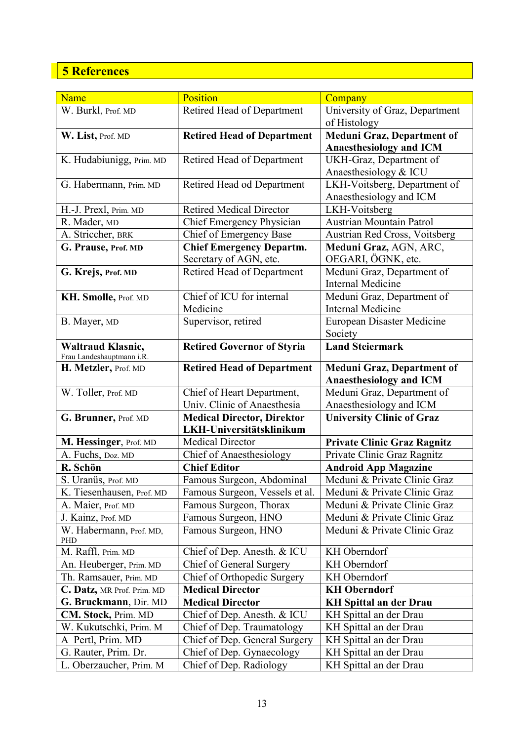## 5 References

| Name                       | Position                          |                                    |
|----------------------------|-----------------------------------|------------------------------------|
|                            |                                   | Company                            |
| W. Burkl, Prof. MD         | Retired Head of Department        | University of Graz, Department     |
|                            |                                   | of Histology                       |
| W. List, Prof. MD          | <b>Retired Head of Department</b> | <b>Meduni Graz, Department of</b>  |
|                            |                                   | <b>Anaesthesiology and ICM</b>     |
| K. Hudabiunigg, Prim. MD   | Retired Head of Department        | UKH-Graz, Department of            |
|                            |                                   | Anaesthesiology & ICU              |
| G. Habermann, Prim. MD     | Retired Head od Department        | LKH-Voitsberg, Department of       |
|                            |                                   | Anaesthesiology and ICM            |
| H.-J. Prexl, Prim. MD      | <b>Retired Medical Director</b>   | LKH-Voitsberg                      |
| R. Mader, MD               | Chief Emergency Physician         | <b>Austrian Mountain Patrol</b>    |
| A. Striccher, BRK          | Chief of Emergency Base           | Austrian Red Cross, Voitsberg      |
| G. Prause, Prof. MD        | <b>Chief Emergency Departm.</b>   | Meduni Graz, AGN, ARC,             |
|                            | Secretary of AGN, etc.            | OEGARI, ÖGNK, etc.                 |
| G. Krejs, Prof. MD         | Retired Head of Department        | Meduni Graz, Department of         |
|                            |                                   | <b>Internal Medicine</b>           |
| KH. Smolle, Prof. MD       | Chief of ICU for internal         | Meduni Graz, Department of         |
|                            | Medicine                          | <b>Internal Medicine</b>           |
| B. Mayer, MD               | Supervisor, retired               | <b>European Disaster Medicine</b>  |
|                            |                                   | Society                            |
| Waltraud Klasnic,          |                                   | <b>Land Steiermark</b>             |
| Frau Landeshauptmann i.R.  | <b>Retired Governor of Styria</b> |                                    |
| H. Metzler, Prof. MD       | <b>Retired Head of Department</b> | <b>Meduni Graz, Department of</b>  |
|                            |                                   | <b>Anaesthesiology and ICM</b>     |
| W. Toller, Prof. MD        | Chief of Heart Department,        | Meduni Graz, Department of         |
|                            | Univ. Clinic of Anaesthesia       | Anaesthesiology and ICM            |
| G. Brunner, Prof. MD       | <b>Medical Director, Direktor</b> | <b>University Clinic of Graz</b>   |
|                            | LKH-Universitätsklinikum          |                                    |
| M. Hessinger, Prof. MD     | <b>Medical Director</b>           | <b>Private Clinic Graz Ragnitz</b> |
| A. Fuchs, Doz. MD          | <b>Chief of Anaesthesiology</b>   | Private Clinic Graz Ragnitz        |
| R. Schön                   | <b>Chief Editor</b>               | <b>Android App Magazine</b>        |
| S. Uranüs, Prof. MD        | Famous Surgeon, Abdominal         | Meduni & Private Clinic Graz       |
|                            | Famous Surgeon, Vessels et al.    | Meduni & Private Clinic Graz       |
| K. Tiesenhausen, Prof. MD  |                                   |                                    |
| A. Maier, Prof. MD         | Famous Surgeon, Thorax            | Meduni & Private Clinic Graz       |
| J. Kainz, Prof. MD         | Famous Surgeon, HNO               | Meduni & Private Clinic Graz       |
| W. Habermann, Prof. MD,    | Famous Surgeon, HNO               | Meduni & Private Clinic Graz       |
| PHD<br>M. Raffl, Prim. MD  | Chief of Dep. Anesth. & ICU       | KH Oberndorf                       |
|                            |                                   | KH Oberndorf                       |
| An. Heuberger, Prim. MD    | Chief of General Surgery          |                                    |
| Th. Ramsauer, Prim. MD     | Chief of Orthopedic Surgery       | KH Oberndorf                       |
| C. Datz, MR Prof. Prim. MD | <b>Medical Director</b>           | <b>KH Oberndorf</b>                |
| G. Bruckmann, Dir. MD      | <b>Medical Director</b>           | <b>KH Spittal an der Drau</b>      |
| CM. Stock, Prim. MD        | Chief of Dep. Anesth. & ICU       | KH Spittal an der Drau             |
| W. Kukutschki, Prim. M     | Chief of Dep. Traumatology        | KH Spittal an der Drau             |
| A Pertl, Prim. MD          | Chief of Dep. General Surgery     | KH Spittal an der Drau             |
| G. Rauter, Prim. Dr.       | Chief of Dep. Gynaecology         | KH Spittal an der Drau             |
| L. Oberzaucher, Prim. M    | Chief of Dep. Radiology           | KH Spittal an der Drau             |